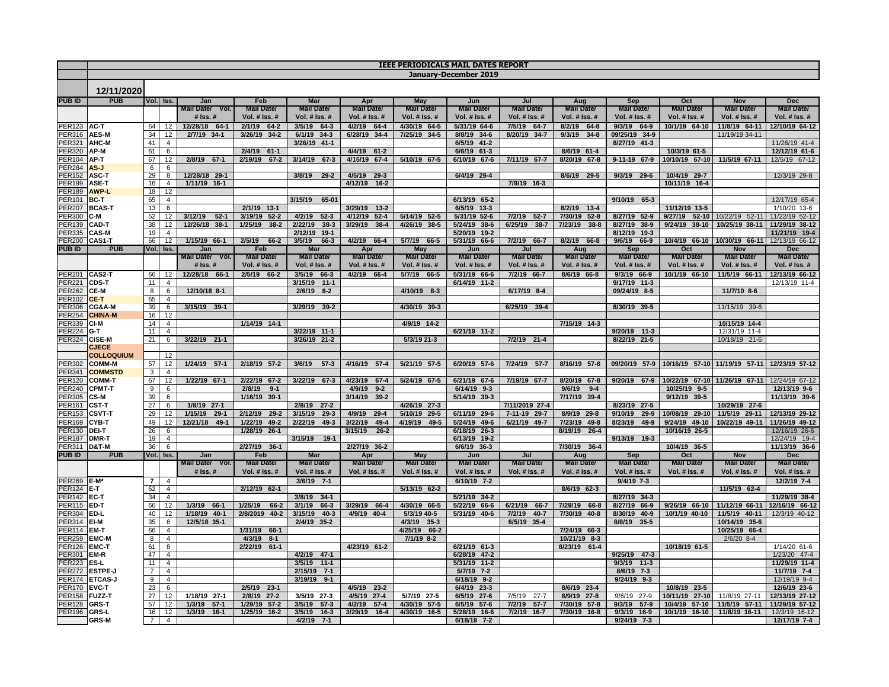|                               | <b>IEEE PERIODICALS MAIL DATES REPORT</b> |                |                                  |                                           |                                   |                                           |                                           |                                 |                                    |                                           |                                     |                                      |                                             |                                  |                                  |
|-------------------------------|-------------------------------------------|----------------|----------------------------------|-------------------------------------------|-----------------------------------|-------------------------------------------|-------------------------------------------|---------------------------------|------------------------------------|-------------------------------------------|-------------------------------------|--------------------------------------|---------------------------------------------|----------------------------------|----------------------------------|
|                               |                                           |                |                                  |                                           |                                   |                                           |                                           |                                 | January-December 2019              |                                           |                                     |                                      |                                             |                                  |                                  |
|                               |                                           |                |                                  |                                           |                                   |                                           |                                           |                                 |                                    |                                           |                                     |                                      |                                             |                                  |                                  |
|                               | 12/11/2020                                |                |                                  |                                           |                                   |                                           |                                           |                                 |                                    |                                           |                                     |                                      |                                             |                                  |                                  |
| <b>PUBID</b>                  | <b>PUB</b>                                |                | Vol. Iss.                        | Jan<br>Mail Date/ Vol.                    | Feb<br><b>Mail Date/</b>          | <b>Mar</b><br><b>Mail Date/</b>           | Apr<br><b>Mail Date/</b>                  | <b>May</b><br><b>Mail Date/</b> | Jun<br><b>Mail Date/</b>           | Jul<br><b>Mail Date/</b>                  | Aug<br><b>Mail Date/</b>            | Sep<br><b>Mail Date/</b>             | Oct<br>Mail Date/                           | Nov<br><b>Mail Date/</b>         | <b>Dec</b><br><b>Mail Date/</b>  |
|                               |                                           |                |                                  | $#$ Iss. $#$                              | Vol. $#$ Iss. $#$                 | Vol. $#$ Iss. $#$                         | <b>Vol. # Iss. #</b>                      | Vol. $#$ Iss. $#$               | Vol. $#$ Iss. $#$                  | Vol. $#$ Iss. $#$                         | Vol. $#$ Iss. $#$                   | <b>Vol. # Iss. #</b>                 | Vol. $#$ Iss. $#$                           | Vol. $#$ Iss. $#$                | Vol. $#$ Iss. $#$                |
| ER <sub>123</sub>             | AC-T                                      | 64             | 12                               | 12/28/18<br>$64-1$                        | 2/1/19<br>$64 - 2$                | 3/5/19<br>$64 - 3$                        | 4/2/19<br>$64 - 4$                        | 4/30/19 64-5                    | 5/31/19 64-6                       | 7/5/19<br>$64 - 7$                        | 8/2/19<br>$64 - 8$                  | 9/3/19<br>$64-9$                     | 10/1/19 64-10                               | 11/8/19 64-11                    | 12/10/19 64-12                   |
| <b>ER316</b>                  | AES-M                                     | 34             | 12                               | 2/7/19 34-1                               | 3/26/19<br>$34 - 2$               | 6/1/19 34-3                               | 6/28/19 34-4                              | 7/25/19 34-5                    | 8/8/19 34-6                        | 8/20/19 34-7                              | 9/3/19<br>$34 - 8$                  | 09/25/19 34-9                        |                                             | 11/19/19 34-11                   |                                  |
| <b>ER321</b>                  | AHC-M                                     | 41             | $\overline{4}$                   |                                           |                                   | 3/26/19 41-1                              |                                           |                                 | 6/5/19 41-2                        |                                           |                                     | 8/27/19 41-3                         |                                             |                                  | 11/26/19 41-4                    |
| ER320                         | AP-M                                      | 61             | 6                                |                                           | 2/4/19 61-1                       |                                           | 4/4/19 61-2                               |                                 | 6/6/19 61-3                        |                                           | 8/6/19 61-4                         |                                      | 10/3/19 61-5                                |                                  | 12/12/19 61-6                    |
| <b>PER104</b>                 | AP-T                                      | 67             | 12                               | $2/8/19$ 67-1                             | 2/19/19 67-2                      | 3/14/19 67-3                              | 4/15/19 67-4                              | 5/10/19 67-5                    | 6/10/19 67-6                       | 7/11/19 67-7                              | 8/20/19 67-8                        | 9-11-19 67-9                         | 10/10/19 67-10                              | 11/5/19 67-11                    | 12/5/19 67-12                    |
| <b>PER284</b><br><b>ER152</b> | AS-J<br>ASC-T                             | 6<br>29        | 6<br>$\overline{8}$              | 12/28/18 29-1                             |                                   | 3/8/19<br>$29-2$                          | 4/5/19<br>$29-3$                          |                                 | 6/4/19 29-4                        |                                           | 8/6/19 29-5                         | 9/3/19 29-6                          | 10/4/19 29-7                                |                                  | 12/3/19 29-8                     |
| PER199                        | ASE-T                                     | 16             | $\overline{4}$                   | 1/11/19 16-1                              |                                   |                                           | 4/12/19 16-2                              |                                 |                                    | 7/9/19 16-3                               |                                     |                                      | 10/11/19 16-4                               |                                  |                                  |
| <b>ER189</b>                  | <b>AWP-L</b>                              | 18             | 12                               |                                           |                                   |                                           |                                           |                                 |                                    |                                           |                                     |                                      |                                             |                                  |                                  |
| PER101                        | BC-T                                      | 65             | $\overline{4}$                   |                                           |                                   | 3/15/19 65-01                             |                                           |                                 | 6/13/19 65-2                       |                                           |                                     | 9/10/19 65-3                         |                                             |                                  | 12/17/19 65-4                    |
| ER207                         | <b>BCAS-T</b>                             | 13             | 6                                |                                           | 2/1/19 13-1                       |                                           | 3/29/19<br>$13 - 2$                       |                                 | 6/5/19 13-3                        |                                           | 8/2/19<br>$13 - 4$                  |                                      | 11/12/19 13-5                               |                                  | 1/10/20 13-6                     |
| <b>ER300</b><br><b>ER139</b>  | C-M<br><b>CAD-T</b>                       | 52<br>38       | 12<br>12                         | 3/12/19<br>$52 - 1$<br>12/26/18<br>$38-1$ | 3/19/19 52-2<br>1/25/19<br>$38-2$ | 4/2/19<br>$52-3$<br>2/22/19<br>$38-3$     | 4/12/19 52-4<br>3/29/19 38-4              | 5/14/19 52-5<br>4/26/19 38-5    | 5/31/19 52-6<br>5/24/19 38-6       | 7/2/19<br>$52 - 7$<br>6/25/19<br>$38 - 7$ | 7/30/19 52-8<br>7/23/19<br>$38-8$   | 8/27/19 52-9<br>8/27/19 38-9         | 9/27/19 52-10<br>9/24/19 38-10              | 10/22/19 52-11<br>10/25/19 38-11 | 11/22/19 52-12<br>11/29/19 38-12 |
| ER335                         | <b>CAS-M</b>                              | 19             | $\overline{4}$                   |                                           |                                   | 2/12/19 19-1                              |                                           |                                 | 5/20/19 19-2                       |                                           |                                     | 8/12/19 19-3                         |                                             |                                  | 11/21/19 19-4                    |
| <b>ER200</b>                  | CAS1-T                                    | 66             | 12                               | 1/15/19 66-1                              | 2/5/19<br>$66 - 2$                | 3/5/19<br>66-3                            | 4/2/19 66-4                               | 5/7/19 66-5                     | 5/31/19 66-6                       | $66 - 7$<br>7/2/19                        | 8/2/19 66-8                         | 9/6/19 66-9                          | 10/4/19 66-10                               | 10/30/19 66-11                   | 12/13/19 66-12                   |
| <b>PUB ID</b>                 | <b>PUB</b>                                |                | Vol. Iss.                        | Jan                                       | Feb                               | Mar                                       | Apr                                       | May                             | Jun                                | Jul                                       | Aug                                 | <b>Sep</b>                           | Oct                                         | Nov                              | <b>Dec</b>                       |
|                               |                                           |                |                                  | Mail Date/<br>Vol.                        | <b>Mail Date/</b>                 | <b>Mail Date</b>                          | <b>Mail Date/</b>                         | <b>Mail Date/</b>               | <b>Mail Date/</b>                  | <b>Mail Date/</b>                         | <b>Mail Date</b>                    | <b>Mail Date</b>                     | Mail Date/                                  | <b>Mail Date/</b>                | <b>Mail Date/</b>                |
|                               |                                           |                |                                  | $#$ Iss. $#$                              | Vol. # Iss. #                     | Vol. # Iss. #                             | Vol. # Iss. #                             | Vol. # Iss. #                   | Vol. # Iss. #                      | Vol. # Iss. #                             | Vol. # Iss. #                       | Vol. # Iss. #                        | Vol. # Iss. #                               | Vol. # Iss. #                    | Vol. # Iss. #                    |
| <b>ER201</b><br><b>ER221</b>  | CAS2-T<br>CDS-T                           | 66<br>11       | 12<br>$\overline{4}$             | 12/28/18 66-1                             | 2/5/19 66-2                       | 3/5/19<br>$66 - 3$<br>3/15/19<br>$11 - 1$ | 4/2/19 66-4                               | 5/7/19 66-5                     | 5/31/19 66-6<br>6/14/19 11-2       | 7/2/19 66-7                               | 8/6/19 66-8                         | 9/3/19 66-9<br>$9/17/19$ 11-3        | 10/1/19 66-10                               | 11/5/19 66-11                    | 12/13/19 66-12<br>12/13/19 11-4  |
| ER <sub>262</sub>             | CE-M                                      | $\overline{8}$ | 6                                | 12/10/18 8-1                              |                                   | $2/6/19$ 8-2                              |                                           | 4/10/19 8-3                     |                                    | $6/17/19$ 8-4                             |                                     | 09/24/19 8-5                         |                                             | 11/7/19 8-6                      |                                  |
| <b>ER102</b>                  | CE-T                                      | 65             | $\overline{4}$                   |                                           |                                   |                                           |                                           |                                 |                                    |                                           |                                     |                                      |                                             |                                  |                                  |
| <b>ER306</b>                  | CG&A-M                                    | 39             | 6                                | 3/15/19 39-1                              |                                   | 3/29/19 39-2                              |                                           | 4/30/19 39-3                    |                                    | 6/25/19 39-4                              |                                     | 8/30/19 39-5                         |                                             | 11/15/19 39-6                    |                                  |
| ER254                         | <b>CHINA-M</b>                            | 16             | 12                               |                                           |                                   |                                           |                                           |                                 |                                    |                                           |                                     |                                      |                                             |                                  |                                  |
| ER339<br><b>PER224</b>        | <b>CI-M</b><br>G-T                        | 14<br>11       | $\overline{4}$<br>$\overline{4}$ |                                           | 1/14/19 14-1                      | 3/22/19 11-1                              |                                           | 4/9/19 14-2                     | 6/21/19 11-2                       |                                           | 7/15/19 14-3                        | $9/20/19$ 11-3                       |                                             | 10/15/19 14-4                    |                                  |
| <b>PER324</b>                 | <b>CiSE-M</b>                             | 21             | 6                                | 3/22/19 21-1                              |                                   | 3/26/19 21-2                              |                                           | 5/3/19 21-3                     |                                    | $7/2/19$ 21-4                             |                                     | 8/22/19 21-5                         |                                             | 12/31/19 11-4<br>10/18/19 21-6   |                                  |
|                               | <b>CJECE</b>                              |                |                                  |                                           |                                   |                                           |                                           |                                 |                                    |                                           |                                     |                                      |                                             |                                  |                                  |
|                               | <b>COLLOQUIUM</b>                         |                | 12                               |                                           |                                   |                                           |                                           |                                 |                                    |                                           |                                     |                                      |                                             |                                  |                                  |
| <b>PER302</b>                 | <b>COMM-M</b>                             | 57             | 12                               | $1/24/19$ 57-1                            | 2/18/19 57-2                      | 3/6/19<br>$57-3$                          | 4/16/19 57-4                              | 5/21/19 57-5                    | 6/20/19 57-6                       | 7/24/19 57-7                              | 8/16/19 57-8                        |                                      | 09/20/19 57-9 10/16/19 57-10 11/19/19 57-11 |                                  | 12/23/19 57-12                   |
| <b>ER341</b><br><b>ER120</b>  | <b>COMMSTD</b><br><b>COMM-T</b>           | 3<br>67        | $\overline{4}$<br>12             | 1/22/19 67-1                              | 2/22/19 67-2                      | 3/22/19 67-3                              | 4/23/19 67-4                              | 5/24/19 67-5                    | 6/21/19 67-6                       | 7/19/19 67-7                              | 8/20/19 67-8                        | $9/20/19$ 67-9                       |                                             | 10/22/19 67-10 11/26/19 67-11    | 12/24/19 67-12                   |
| ER240                         | <b>CPMT-T</b>                             | 9              | 6                                |                                           | 2/8/19<br>$9 - 1$                 |                                           | 4/9/19 9-2                                |                                 | 6/14/19 9-3                        |                                           | 9/6/19<br>$9 - 4$                   |                                      | 10/25/19 9-5                                |                                  | 12/13/19 9-6                     |
| <b>ER305</b>                  | CS-M                                      | 39             | 6                                |                                           | 1/16/19 39-1                      |                                           | 3/14/19 39-2                              |                                 | 5/14/19 39-3                       |                                           | 7/17/19 39-4                        |                                      | 9/12/19 39-5                                |                                  | 11/13/19 39-6                    |
| <b>ER161</b>                  | CST-T                                     | 27             | 6                                | 1/8/19 27-1                               |                                   | 2/8/19 27-2                               |                                           | 4/26/19 27-3                    |                                    | 7/11/2019 27-4                            |                                     | 8/23/19 27-5                         |                                             | 10/29/19 27-6                    |                                  |
| <b>ER153</b>                  | <b>CSVT-T</b>                             | 29             | 12                               | 1/15/19 29-1                              | $29 - 2$<br>2/12/19               | 3/15/19<br>$29-3$                         | 4/9/19<br>$29 - 4$                        | 5/10/19 29-5                    | 6/11/19 29-6                       | 7-11-19 29-7                              | 8/9/19<br>29-8                      | 9/10/19 29-9                         | 10/08/19 29-10                              | 11/5/19 29-11                    | 12/13/19 29-12                   |
| <b>ER169</b>                  | CYB-T                                     | 49             | 12                               | 12/21/18<br>49-1                          | 1/22/19<br>$49 - 2$               | 2/22/19<br>$49 - 3$                       | 3/22/19<br>$49 - 4$                       | 4/19/19<br>49-5                 | 5/24/19 49-6                       | 6/21/19 49-7                              | 7/23/19<br>49-8                     | 8/23/19<br>49-9                      | 9/24/19<br>49-10                            | 10/22/19 49-11                   | 11/26/19 49-12                   |
| <b>ER130</b>                  | <b>DEI-T</b><br><b>DMR-T</b>              | 26             | 6                                |                                           | 1/28/19 26-1                      | 3/15/19 19-1                              | 3/15/19<br>$26 - 2$                       |                                 | 6/18/19 26-3<br>6/13/19 19-2       |                                           | 8/19/19 26-4                        | 9/13/19 19-3                         | 10/16/19 26-5                               |                                  | 12/16/19 26-6<br>12/24/19 19-4   |
| <b>ER187</b><br><b>PER311</b> | D&T-M                                     | 19<br>36       | $\overline{4}$<br>6              |                                           | 2/27/19<br>$36-1$                 |                                           | 2/27/19 36-2                              |                                 | 6/6/19 36-3                        |                                           | 7/30/19 36-4                        |                                      | 10/4/19 36-5                                |                                  | 11/13/19 36-6                    |
| <b>PUB ID</b>                 | <b>PUB</b>                                |                | Vol. Iss.                        | Jan                                       | Feb                               | Mar                                       | Apr                                       | May                             | Jun                                | Jul                                       | Aug                                 | Sep                                  | Oct                                         | Nov                              | Dec                              |
|                               |                                           |                |                                  | Mail Date/ Vol.                           | <b>Mail Date/</b>                 | <b>Mail Date/</b>                         | <b>Mail Date/</b>                         | <b>Mail Date/</b>               | <b>Mail Date/</b>                  | <b>Mail Date/</b>                         | <b>Mail Date/</b>                   | <b>Mail Date/</b>                    | <b>Mail Date/</b>                           | <b>Mail Date/</b>                | <b>Mail Date/</b>                |
|                               |                                           |                |                                  | # Iss. #                                  | Vol. # Iss. #                     | Vol. # Iss. #                             | Vol. # Iss. #                             | Vol. # Iss. #                   | Vol. # Iss. #                      | Vol. # Iss. #                             | Vol. # Iss. #                       | Vol. # Iss. #                        | Vol. # Iss. #                               | Vol. # Iss. #                    | Vol. # Iss. #                    |
| <b>PER269 E-M</b>             |                                           | $\mathbf{7}$   | $\overline{4}$                   |                                           |                                   | $3/6/19$ 7-1                              |                                           |                                 | 6/10/19 7-2                        |                                           |                                     | $9/4/19$ 7-3                         |                                             |                                  | 12/2/19 7-4                      |
| PER124<br>ER <sub>142</sub>   | E-T<br>EC-T                               | 62<br>34       | $\overline{4}$<br>$\overline{4}$ |                                           | 2/12/19 62-1                      | 3/8/19<br>$34-1$                          |                                           | 5/13/19 62-2                    | 5/21/19 34-2                       |                                           | 8/6/19 62-3                         | 8/27/19 34-3                         |                                             | 11/5/19 62-4                     | 11/29/19 38-4                    |
| <b>ER115</b>                  | ED-T                                      | 66             | 12                               | 1/3/19 66-1                               | 1/25/19<br>$66 - 2$               | 3/1/19<br>66-3                            | 3/29/19 66-4                              | 4/30/19 66-5                    | 5/22/19 66-6                       | 6/21/19 66-7                              | 7/29/19 66-8                        | 8/27/19 66-9                         | 9/26/19 66-10                               | 11/12/19 66-11                   | 12/16/19 66-12                   |
| ER304                         | ED-L                                      | 40             | 12                               | 1/18/19 40-1                              | 2/8/2019<br>$40 - 2$              | 3/15/19<br>$40 - 3$                       | 4/9/19 40-4                               | 5/3/19 40-5                     | 5/31/19 40-6                       | 7/2/19 40-7                               | 7/30/19 40-8                        | 8/30/19 40-9                         | 10/1/19 40-10                               | 11/5/19 40-11                    | 12/3/19 40-12                    |
| <b>ER314</b>                  | EI-M                                      | 35             | 6                                | 12/5/18 35-1                              |                                   | 2/4/19<br>$35 - 2$                        |                                           | 4/3/19 35-3                     |                                    | 6/5/19 35-4                               |                                     | 8/8/19 35-5                          |                                             | 10/14/19 35-6                    |                                  |
| <b>ER114</b>                  | EM-T                                      | 66             | $\overline{4}$                   |                                           | 1/31/19 66-1                      |                                           |                                           | 4/25/19 66-2                    |                                    |                                           | 7/24/19 66-3                        |                                      |                                             | 10/25/19 66-4                    |                                  |
| <b>PER259</b>                 | <b>EMC-M</b>                              | 8              | $\overline{4}$                   |                                           | 4/3/19<br>$8-1$                   |                                           |                                           | $7/1/19$ 8-2                    |                                    |                                           | 10/21/19 8-3                        |                                      |                                             | $2/6/20$ 8-4                     |                                  |
| <b>PER126</b><br>PER301       | <b>EMC-T</b><br>EM-R                      | 61<br>47       | $\overline{8}$<br>$\overline{4}$ |                                           | 2/22/19<br>$61-1$                 | $4/2/19$ 47-1                             | 4/23/19 61-2                              |                                 | 6/21/19 61-3<br>6/28/19 47-2       |                                           | 8/23/19 61-4                        | $9/25/19$ 47-3                       | 10/18/19 61-5                               |                                  | 1/14/20 61-6<br>1/23/20 47-4     |
| <b>ER223</b>                  | ES-L                                      | 11             | $\overline{4}$                   |                                           |                                   | 3/5/19 11-1                               |                                           |                                 | 5/31/19 11-2                       |                                           |                                     | 9/3/19 11-3                          |                                             |                                  | 11/29/19 11-4                    |
| ER272                         | <b>ESTPE-J</b>                            | $7^{\circ}$    | $\overline{4}$                   |                                           |                                   | $2/15/19$ 7-1                             |                                           |                                 | 5/7/19 7-2                         |                                           |                                     | 8/6/19 7-3                           |                                             |                                  | 11/7/19 7-4                      |
|                               | <b>ER174 ETCAS-J</b>                      | 9              | $\overline{4}$                   |                                           |                                   | $3/19/19$ 9-1                             |                                           |                                 | 6/18/19 9-2                        |                                           |                                     | $9/24/19$ 9-3                        |                                             |                                  | 12/19/19 9-4                     |
| <b>ER170 EVC-T</b>            |                                           | 23             | 6                                |                                           | $2/5/19$ 23-1                     |                                           | 4/5/19 23-2                               |                                 | 6/4/19 23-3                        |                                           | 8/6/19 23-4                         |                                      | 10/8/19 23-5                                |                                  | 12/6/19 23-6                     |
| <b>ER158</b>                  | <b>FUZZ-T</b>                             | 27             | 12                               | 1/18/19 27-1                              | 2/8/19<br>$27 - 2$                | 3/5/19 27-3                               | 4/5/19 27-4                               | $\overline{5/7/19}$ 27-5        | 6/5/19 27-6                        | $27 - 7$<br>7/5/19                        | 8/9/19<br>$27 - 8$                  | $\frac{9}{6}$ /19 27-9               | 10/11/19 27-10                              | 11/8/19 27-11                    | 12/13/19 27-12                   |
| PER128<br><b>PER196</b>       | <b>GRS-T</b><br>GRS-L                     | 57<br>16       | 12<br>12                         | 1/3/19<br>$57-1$<br>$16-1$<br>1/3/19      | 1/29/19<br>$57-2$<br>1/25/19 16-2 | 3/5/19<br>$57-3$<br>3/5/19<br>$16 - 3$    | 4/2/19<br>$57 - 4$<br>3/29/19<br>$16 - 4$ | 4/30/19 57-5<br>4/30/19 16-5    | 6/5/19<br>$57 - 6$<br>5/28/19 16-6 | 7/2/19<br>$57 - 7$<br>7/2/19 16-7         | 7/30/19 57-8<br>7/30/19<br>$16 - 8$ | 9/3/19<br>$57-9$<br>9/3/19<br>$16-9$ | 10/4/19<br>$57-10$<br>10/1/19<br>$16 - 10$  | 11/5/19 57-11<br>11/8/19 16-11   | 11/29/19 57-12<br>12/3/19 16-12  |
|                               | <b>GRS-M</b>                              | $7^{\circ}$    | $\overline{4}$                   |                                           |                                   | 4/2/19 7-1                                |                                           |                                 | 6/18/19 7-2                        |                                           |                                     | 9/24/19 7-3                          |                                             |                                  | 12/17/19 7-4                     |
|                               |                                           |                |                                  |                                           |                                   |                                           |                                           |                                 |                                    |                                           |                                     |                                      |                                             |                                  |                                  |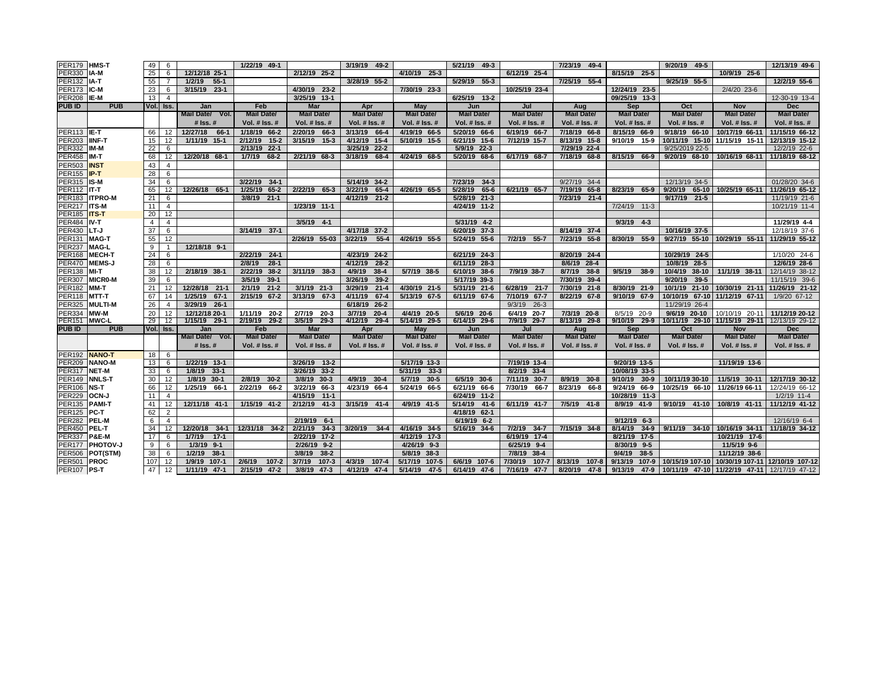| <b>PER179</b>                  | <b>HMS-T</b>                  | 49             | 6                 |                                   | 1/22/19 49-1        |                                   | 3/19/19 49-2        |                              | 5/21/19 49-3                |                                    | 7/23/19 49-4         |                              | 9/20/19 49-5                                      |                               | 12/13/19 49-6     |
|--------------------------------|-------------------------------|----------------|-------------------|-----------------------------------|---------------------|-----------------------------------|---------------------|------------------------------|-----------------------------|------------------------------------|----------------------|------------------------------|---------------------------------------------------|-------------------------------|-------------------|
| <b>PER330</b>                  | IA-M                          | 25             | 6                 | 12/12/18 25-1                     |                     | 2/12/19 25-2                      |                     | 4/10/19 25-3                 |                             | 6/12/19 25-4                       |                      | 8/15/19 25-5                 |                                                   | 10/9/19 25-6                  |                   |
| PER132                         | IA-T                          | 55             | $\overline{7}$    | 1/2/19<br>$55-1$                  |                     |                                   | 3/28/19 55-2        |                              | 5/29/19 55-3                |                                    | 7/25/19 55-4         |                              | 9/25/19 55-5                                      |                               | 12/2/19 55-6      |
| <b>PER173</b>                  | IC-M                          | 23             | 6                 | 3/15/19 23-1                      |                     | 4/30/19 23-2                      |                     | 7/30/19 23-3                 |                             | 10/25/19 23-4                      |                      | 12/24/19 23-5                |                                                   | 2/4/20 23-6                   |                   |
| <b>PER208 IE-M</b>             |                               | 13             | 4                 |                                   |                     | 3/25/19 13-1                      |                     |                              | 6/25/19 13-2                |                                    |                      | 09/25/19 13-3                |                                                   |                               | 12-30-19 13-4     |
| <b>PUBID</b>                   | <b>PUB</b>                    |                | Vol. Iss.         | Jan                               | Feb                 | <b>Mar</b>                        | Apr                 | May                          | Jun                         | Jul                                | Aug                  | Sep                          | Oct                                               | <b>Nov</b>                    | <b>Dec</b>        |
|                                |                               |                |                   | Mail Date/ Vol.                   | <b>Mail Date/</b>   | <b>Mail Date/</b>                 | <b>Mail Date/</b>   | <b>Mail Date/</b>            | <b>Mail Date/</b>           | <b>Mail Date/</b>                  | <b>Mail Date/</b>    | <b>Mail Date/</b>            | <b>Mail Date/</b>                                 | <b>Mail Date/</b>             | <b>Mail Date/</b> |
|                                |                               |                |                   | $#$ Iss. $#$                      | Vol. # Iss. #       | Vol. $#$ Iss. $#$                 | Vol. $#$ Iss. $#$   | Vol. # Iss. #                | Vol. # Iss. #               | Vol. $#$ Iss. $#$                  | <b>Vol. # Iss. #</b> | Vol. # Iss. #                | Vol. # Iss. #                                     | Vol. $#$ Iss. $#$             | Vol. # Iss. #     |
| <b>PER113 IE-T</b>             |                               | 66             | 12                | 12/27/18<br>66-1                  | 1/18/19 66-2        | 2/20/19 66-3                      | 3/13/19 66-4        | 4/19/19 66-5                 | 5/20/19 66-6                | 6/19/19 66-7                       | 7/18/19 66-8         | 8/15/19 66-9                 | 9/18/19 66-10                                     | 10/17/19 66-11                | 11/15/19 66-12    |
| <b>PER203</b>                  | <b>IINF-T</b>                 | 15             | 12                | 1/11/19 15-1                      | 2/12/19<br>$15 - 2$ | 3/15/19 15-3                      | 4/12/19 15-4        | 5/10/19 15-5                 | 6/21/19 15-6                | 7/12/19 15-7                       | 8/13/19 15-8         | 9/10/19 15-9                 | 10/11/19 15-10 11/15/19 15-11                     |                               | 12/13/19 15-12    |
| <b>PER332</b>                  | IM-M                          | 22             | 6                 |                                   | $22 - 1$<br>2/13/19 |                                   | 3/25/19 22-2        |                              | 5/9/19 22-3                 |                                    | 7/29/19 22-4         |                              | 9/25/2019 22-5                                    |                               | 12/2/19 22-6      |
| PER458                         | IM-T                          | 68             | 12                | 12/20/18 68-1                     | 1/7/19<br>68-2      | 2/21/19 68-3                      | 3/18/19<br>68-4     | 4/24/19 68-5                 | 5/20/19 68-6                | 6/17/19 68-7                       | 7/18/19 68-8         | 8/15/19 66-9                 | 9/20/19 68-10                                     | 10/16/19 68-11                | 11/18/19 68-12    |
| PER503                         | <b>INST</b>                   | 43             | $\overline{4}$    |                                   |                     |                                   |                     |                              |                             |                                    |                      |                              |                                                   |                               |                   |
| <b>PER155</b>                  | IP-T                          | 28             | 6                 |                                   |                     |                                   |                     |                              |                             |                                    |                      |                              |                                                   |                               |                   |
| PER315 IS-M                    |                               | 34             | 6                 |                                   | 3/22/19<br>$34-1$   |                                   | 5/14/19 34-2        |                              | 7/23/19<br>$34-3$           |                                    | 9/27/19 34-4         |                              | 12/13/19 34-5                                     |                               | 01/28/20 34-6     |
| PER112                         | IT-T                          | 65             | 12                | 12/26/18 65-1                     | 1/25/19<br>$65 - 2$ | 2/22/19 65-3                      | 3/22/19<br>$65 - 4$ | 4/26/19 65-5                 | 5/28/19<br>$65 - 6$         | 6/21/19 65-7                       | 7/19/19 65-8         | 8/23/19 65-9                 | 9/20/19<br>65-10                                  | 10/25/19 65-11                | 11/26/19 65-12    |
| PER183                         | <b>ITPRO-M</b>                | 21             | 6                 |                                   | 3/8/19 21-1         |                                   | 4/12/19 21-2        |                              | 5/28/19 21-3                |                                    | 7/23/19 21-4         |                              | $21 - 5$<br>9/17/19                               |                               | 11/19/19 21-6     |
| <b>PER217</b>                  | <b>ITS-M</b>                  | 11             | $\overline{4}$    |                                   |                     | 1/23/19 11-1                      |                     |                              | 4/24/19 11-2                |                                    |                      | $7/24/19$ 11-3               |                                                   |                               | 10/21/19 11-4     |
| PER185                         | <b>ITS-T</b>                  | 20             | 12                |                                   |                     |                                   |                     |                              |                             |                                    |                      |                              |                                                   |                               |                   |
| <b>PER484</b>                  | IV-T                          | $\overline{4}$ | $\overline{4}$    |                                   |                     | $3/5/19$ 4-1                      |                     |                              | 5/31/19 4-2                 |                                    |                      | $9/3/19$ 4-3                 |                                                   |                               | 11/29/19 4-4      |
| PER430                         | LT-J                          | 37             | 6                 |                                   | 3/14/19 37-1        | 2/26/19 55-03                     | 4/17/18 37-2        |                              | 6/20/19 37-3                |                                    | 8/14/19 37-4         | 8/30/19 55-9                 | 10/16/19 37-5                                     |                               | 12/18/19 37-6     |
| <b>PER131</b>                  | <b>MAG-T</b>                  | 55             | 12                |                                   |                     |                                   | 3/22/19<br>$55 - 4$ | 4/26/19 55-5                 | 5/24/19 55-6                | 7/2/19 55-7                        | 7/23/19 55-8         |                              | 9/27/19 55-10                                     | 10/29/19 55-11                | 11/29/19 55-12    |
| <b>PER237</b>                  | <b>MAG-L</b><br><b>MECH-T</b> | 9<br>24        | $\mathbf{1}$<br>6 | 12/18/18 9-1                      | 2/22/19 24-1        |                                   | 4/23/19 24-2        |                              | 6/21/19 24-3                |                                    | 8/20/19 24-4         |                              | 10/29/19 24-5                                     |                               | 1/10/20 24-6      |
| <b>PER168</b><br><b>PER470</b> | <b>MEMS-J</b>                 | 28             | 6                 |                                   | $28-1$<br>2/8/19    |                                   | 4/12/19<br>$28-2$   |                              | 6/11/19 28-3                |                                    | $28 - 4$<br>8/6/19   |                              | 10/8/19 28-5                                      |                               | 12/6/19 28-6      |
| PER138                         | MI-T                          | 38             | 12                | 2/18/19 38-1                      | 2/22/19<br>$38-2$   | 3/11/19 38-3                      | 4/9/19<br>$38 - 4$  | 5/7/19 38-5                  | 6/10/19 38-6                | 7/9/19 38-7                        | $38 - 8$<br>8/7/19   | 9/5/19 38-9                  | 10/4/19 38-10                                     | 11/1/19 38-11                 | 12/14/19 38-12    |
| <b>PER307</b>                  | <b>MICRO-M</b>                | 39             | 6                 |                                   | 3/5/19<br>$39-1$    |                                   | $39-2$<br>3/26/19   |                              | 5/17/19 39-3                |                                    | 7/30/19 39-4         |                              | 9/20/19<br>$39 - 5$                               |                               | 11/15/19 39-6     |
| <b>PER182</b>                  | MM-T                          | 21             | 12                | 12/28/18 21-1                     | 2/1/19<br>$21 - 2$  | 3/1/19 21-3                       | 3/29/19<br>$21 - 4$ | 4/30/19 21-5                 | 5/31/19 21-6                | 6/28/19 21-7                       | 7/30/19 21-8         | 8/30/19 21-9                 | 10/1/19 21-10                                     | 10/30/19 21-11                | 11/26/19 21-12    |
| PER118                         | <b>MTT-T</b>                  | 67             | 14                | 1/25/19 67-1                      | 2/15/19<br>$67 - 2$ | 3/13/19 67-3                      | 4/11/19<br>67-4     | 5/13/19 67-5                 | 6/11/19 67-6                | 7/10/19<br>$67 - 7$                | 8/22/19 67-8         | 9/10/19 67-9                 |                                                   | 10/10/19 67-10 11/12/19 67-11 | 1/9/20 67-12      |
| <b>PER325</b>                  | <b>MULTI-M</b>                | 26             | 4                 | 3/29/19 26-1                      |                     |                                   | 6/18/19 26-2        |                              |                             | 9/3/19<br>$26 - 3$                 |                      |                              | 11/29/19 26-4                                     |                               |                   |
| PER334                         | MW-M                          | 20             | 12                | 12/12/18 20-1                     | 1/11/19<br>$20 - 2$ | 2/7/19 20-3                       | 3/7/19<br>$20 - 4$  | 4/4/19 20-5                  | 5/6/19 20-6                 | 6/4/19 20-7                        | 7/3/19 20-8          | 8/5/19 20-9                  | 9/6/19 20-10                                      | 10/10/19 20-11 11/12/19 20-12 |                   |
| <b>PER151</b>                  | ™WC-L                         | 29             | 12                | 1/15/19 29-1                      | 2/19/19<br>$29-2$   | 3/5/19 29-3                       | 4/12/19 29-4        | 5/14/19 29-5                 | 6/14/19 29-6                | 7/9/19 29-7                        | 8/13/19 29-8         | 9/10/19 29-9                 | 10/11/19 29-10   11/15/19 29-11                   |                               | 12/13/19 29-12    |
| <b>PUB ID</b>                  | <b>PUB</b>                    |                | Vol. Iss.         | Jan                               | Feb                 | Mar                               | Apr                 | May                          | Jun                         | Jul                                | Aug                  | Sep                          | Oct                                               | <b>Nov</b>                    | <b>Dec</b>        |
|                                |                               |                |                   | Mail Date/ Vol.                   | <b>Mail Date/</b>   | <b>Mail Date/</b>                 | <b>Mail Date/</b>   | <b>Mail Date/</b>            | <b>Mail Date/</b>           | <b>Mail Date/</b>                  | <b>Mail Date/</b>    | <b>Mail Date/</b>            | <b>Mail Date/</b>                                 | <b>Mail Date/</b>             | <b>Mail Date/</b> |
|                                |                               |                |                   | $#$ Iss. $#$                      | Vol. $#$ Iss. $#$   | Vol. $#$ Iss. $#$                 | Vol. $#$ Iss. $#$   | Vol. $#$ Iss. $#$            | Vol. $#$ Iss. $#$           | Vol. $#$ Iss. $#$                  | <b>Vol. # Iss. #</b> | Vol. $#$ Iss. $#$            | Vol. $#$ Iss. $#$                                 | Vol. $#$ Iss. $#$             | Vol. $#$ Iss. $#$ |
| <b>PER192</b>                  | <b>NANO-T</b>                 | 18             | 6                 |                                   |                     |                                   |                     |                              |                             |                                    |                      |                              |                                                   |                               |                   |
| <b>PER209</b>                  | <b>NANO-M</b>                 | 13             | 6                 | 1/22/19 13-1                      |                     | 3/26/19 13-2                      |                     | 5/17/19 13-3                 |                             | 7/19/19 13-4                       |                      | 9/20/19 13-5                 |                                                   | 11/19/19 13-6                 |                   |
| PER317                         | <b>NET-M</b>                  | 33             | 6                 | 1/8/19 33-1                       |                     | 3/26/19 33-2                      |                     | $33 - 3$<br>5/31/19          |                             | 8/2/19 33-4                        |                      | 10/08/19 33-5                |                                                   |                               |                   |
| <b>PER149</b>                  | <b>NNLS-T</b>                 | 30             | 12                | 1/8/19 30-1                       | 2/8/19<br>$30-2$    | 3/8/19<br>$30-3$                  | 4/9/19 30-4         | 5/7/19<br>$30 - 5$           | 6/5/19 30-6                 | 7/11/19<br>$30 - 7$                | 8/9/19<br>$30 - 8$   | 9/10/19<br>$30-9$            | 10/11/19 30-10                                    | 11/5/19 30-11                 | 12/17/19 30-12    |
| <b>PER106</b>                  | NS-T                          | 66             | 12                | 1/25/19 66-1                      | 2/22/19<br>66-2     | 66-3<br>3/22/19                   | 4/23/19 66-4        | 5/24/19 66-5                 | 6/21/19 66-6                | 7/30/19<br>66-7                    | 8/23/19<br>66-8      | 9/24/19 66-9                 | 10/25/19 66-10                                    | 11/26/19 66-11                | 12/24/19 66-12    |
| <b>PER229</b>                  | OCN-J                         | 11             | $\overline{4}$    |                                   |                     | 4/15/19<br>$11-1$                 |                     |                              | 6/24/19 11-2                |                                    |                      | 10/28/19 11-3                |                                                   |                               | $1/2/19$ 11-4     |
| <b>PER135</b>                  | <b>PAMI-T</b>                 | 41             | 12                | 12/11/18 41-1                     | 1/15/19 41-2        | 2/12/19<br>$41 - 3$               | 3/15/19 41-4        | 4/9/19 41-5                  | 5/14/19<br>$41 - 6$         | 6/11/19 41-7                       | 7/5/19 41-8          | 8/9/19 41-9                  | 9/10/19 41-10                                     | 10/8/19 41-11                 | 11/12/19 41-12    |
| <b>PER125</b>                  | PC-T<br><b>PEL-M</b>          | 62             | $\overline{2}$    |                                   |                     | 2/19/19 6-1                       |                     |                              | 4/18/19 62-1<br>6/19/19 6-2 |                                    |                      | $9/12/19$ 6-3                |                                                   |                               |                   |
| <b>PER282</b>                  |                               | 6              | $\overline{4}$    |                                   |                     |                                   |                     |                              |                             |                                    |                      |                              |                                                   |                               | 12/16/19 6-4      |
| <b>PER450</b>                  | <b>PEL-T</b><br>P&E-M         | 34             | 12                | 12/20/18 34-1<br>1/7/19<br>$17-1$ | 12/31/18 34-2       | 2/21/19<br>$34-3$<br>2/22/19 17-2 | 3/20/19 34-4        | 4/16/19 34-5<br>4/12/19 17-3 | 5/16/19 34-6                | 7/2/19<br>$34 - 7$<br>6/19/19 17-4 | 7/15/19 34-8         | 8/14/19 34-9<br>8/21/19 17-5 | 9/11/19 34-10                                     | 10/16/19 34-11                | 11/18/19 34-12    |
| <b>PER337</b><br><b>PER177</b> | <b>PHOTOV-J</b>               | 17<br>9        | 6<br>6            | 1/3/19 9-1                        |                     | $2/26/19$ 9-2                     |                     | 4/26/19 9-3                  |                             | 6/25/19 9-4                        |                      | 8/30/19 9-5                  |                                                   | 10/21/19 17-6<br>11/5/19 9-6  |                   |
| <b>PER506</b>                  | <b>POT(STM)</b>               | 38             | 6                 | $38-1$<br>1/2/19                  |                     | $38 - 2$<br>3/8/19                |                     | 5/8/19 38-3                  |                             | 7/8/19<br>$38 - 4$                 |                      | $38-5$<br>9/4/19             |                                                   | 11/12/19 38-6                 |                   |
| <b>PER501</b>                  | <b>PROC</b>                   | 107            | 12                | 1/9/19<br>$107-1$                 | 2/6/19<br>$107 - 2$ | 3/7/19<br>$107 - 3$               | 4/3/19<br>$107 - 4$ | 5/17/19<br>$107 - 5$         | 6/6/19 107-6                | 7/30/19<br>$107 - 7$               | 8/13/19<br>$107 - 8$ | 9/13/19<br>$107 - 9$         | 10/15/19 107-10 10/30/19 107-11 12/10/19 107-12   |                               |                   |
| PER107 PS-T                    |                               | 47             | 12                | 1/11/19 47-1                      | 2/15/19 47-2        | 3/8/19 47-3                       | 4/12/19 47-4        | 5/14/19<br>$47 - 5$          | 6/14/19 47-6                | 7/16/19 47-7                       | 8/20/19 47-8         | 9/13/19                      | 47-9 10/11/19 47-10 11/22/19 47-11 12/17/19 47-12 |                               |                   |
|                                |                               |                |                   |                                   |                     |                                   |                     |                              |                             |                                    |                      |                              |                                                   |                               |                   |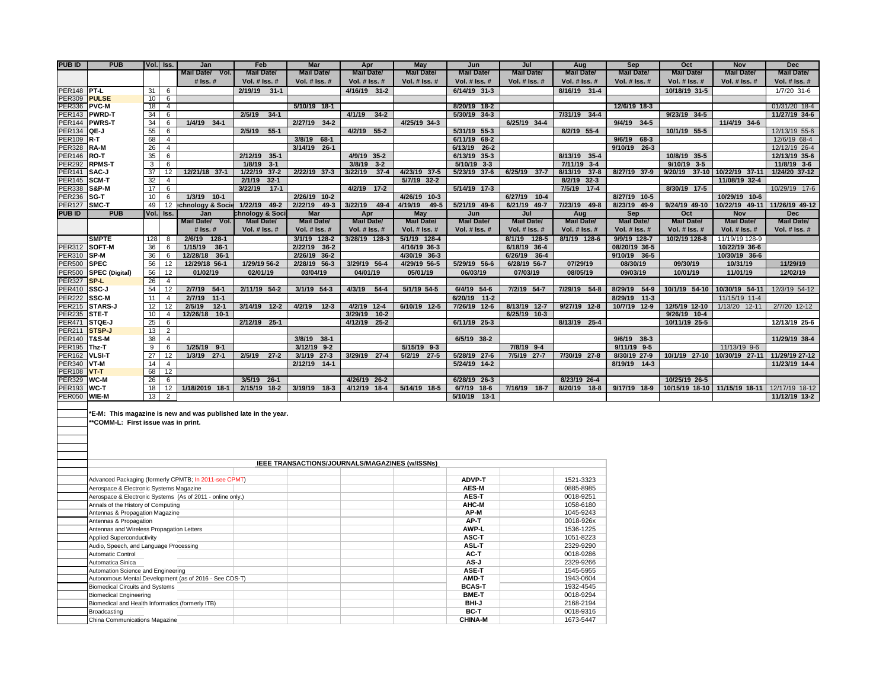| <b>PUBID</b>            | <b>PUB</b>                          | Vol. Iss.       |                | Jan                                                            | Feb               | <b>Mar</b>           | Apr                  | <b>May</b>        | Jun               | Jul               | Aug                  | Sep               | Oct               | <b>Nov</b>                    | <b>Dec</b>        |
|-------------------------|-------------------------------------|-----------------|----------------|----------------------------------------------------------------|-------------------|----------------------|----------------------|-------------------|-------------------|-------------------|----------------------|-------------------|-------------------|-------------------------------|-------------------|
|                         |                                     |                 |                | Mail Date/ Vol.                                                | <b>Mail Date/</b> | <b>Mail Date/</b>    | <b>Mail Date/</b>    | <b>Mail Date/</b> | <b>Mail Date/</b> | <b>Mail Date/</b> | <b>Mail Date/</b>    | <b>Mail Date/</b> | <b>Mail Date/</b> | <b>Mail Date/</b>             | <b>Mail Date/</b> |
|                         |                                     |                 |                | # Iss. #                                                       | Vol. # Iss. #     | Vol. # Iss. #        | Vol. # Iss. #        | Vol. # Iss. #     | Vol. # Iss. #     | Vol. # Iss. #     | Vol. # Iss. #        | Vol. # Iss. #     | Vol. # Iss. #     | Vol. # Iss. #                 | Vol. # Iss. #     |
| PER148 PT-L             |                                     | 31              | 6              |                                                                | 2/19/19 31-1      |                      | 4/16/19 31-2         |                   | 6/14/19 31-3      |                   | 8/16/19 31-4         |                   | 10/18/19 31-5     |                               | $1/7/20$ 31-6     |
| <b>PER309</b>           | <b>PULSE</b>                        | 10 <sup>1</sup> | 6              |                                                                |                   |                      |                      |                   |                   |                   |                      |                   |                   |                               |                   |
| <b>PER336</b>           | <b>PVC-M</b>                        | 18              | $\overline{4}$ |                                                                |                   | 5/10/19 18-1         |                      |                   | 8/20/19 18-2      |                   |                      | 12/6/19 18-3      |                   |                               | 01/31/20 18-4     |
| <b>PER143</b>           | <b>PWRD-T</b>                       | 34              | 6              |                                                                | 2/5/19<br>$34-1$  |                      | 4/1/19<br>$34-2$     |                   | 5/30/19 34-3      |                   | 7/31/19 34-4         |                   | 9/23/19 34-5      |                               | 11/27/19 34-6     |
| <b>PER144</b>           | <b>PWRS-T</b>                       | 34              | 6              | 1/4/19 34-1                                                    |                   | 2/27/19 34-2         |                      | 4/25/19 34-3      |                   | 6/25/19 34-4      |                      | $9/4/19$ 34-5     |                   | 11/4/19 34-6                  |                   |
| <b>PER134</b>           | TQE-J                               | 55              | 6              |                                                                | 2/5/19<br>$55-1$  |                      | 4/2/19 55-2          |                   | 5/31/19 55-3      |                   | 8/2/19 55-4          |                   | 10/1/19 55-5      |                               | 12/13/19 55-6     |
| <b>PER109 R-T</b>       |                                     | 68              | $\overline{4}$ |                                                                |                   | $68-1$<br>3/8/19     |                      |                   | 6/11/19 68-2      |                   |                      | $9/6/19$ 68-3     |                   |                               | 12/6/19 68-4      |
| <b>PER328</b>           | RA-M                                | 26              | $\overline{4}$ |                                                                |                   | 3/14/19 26-1         |                      |                   | 6/13/19 26-2      |                   |                      | $9/10/19$ 26-3    |                   |                               | 12/12/19 26-4     |
| <b>PER146 RO-T</b>      |                                     | 35              | 6              |                                                                | 2/12/19 35-1      |                      | 4/9/19 35-2          |                   | 6/13/19 35-3      |                   | 8/13/19 35-4         |                   | 10/8/19 35-5      |                               | 12/13/19 35-6     |
| <b>PER292</b>           | <b>RPMS-T</b>                       | $\mathbf{3}$    | 6              |                                                                | 1/8/19<br>$3-1$   |                      | 3/8/19<br>$3-2$      |                   | 5/10/19 3-3       |                   | $7/11/19$ 3-4        |                   | $9/10/19$ 3-5     |                               | 11/8/19 3-6       |
| <b>PER141</b>           | SAC-J                               | 37              | 12             | 12/21/18 37-1                                                  | 1/22/19 37-2      | 2/22/19 37-3         | 3/22/19<br>$37-4$    | 4/23/19 37-5      | 5/23/19 37-6      | 6/25/19 37-7      | 8/13/19 37-8         | 8/27/19 37-9      |                   | 9/20/19 37-10 10/22/19 37-11  | 1/24/20 37-12     |
| <b>PER145</b>           | SCM-T                               | 32              | $\overline{4}$ |                                                                | 2/1/19<br>$32-1$  |                      |                      | 5/7/19 32-2       |                   |                   | 8/2/19 32-3          |                   |                   | 11/08/19 32-4                 |                   |
| <b>PER338</b>           | S&P-M                               | 17              | 6              |                                                                | 3/22/19<br>$17-1$ |                      | 4/2/19 17-2          |                   | 5/14/19 17-3      |                   | 7/5/19 17-4          |                   | 8/30/19 17-5      |                               | 10/29/19 17-6     |
| <b>PER236</b>           | Isg-T                               | 10              | 6              | 1/3/19 10-1                                                    |                   | 2/26/19 10-2         |                      | 4/26/19 10-3      |                   | 6/27/19 10-4      |                      | 8/27/19 10-5      |                   | 10/29/19 10-6                 |                   |
| <b>PER127</b>           | SMC-T                               | 49              | 12             | echnology & Socie                                              | 1/22/19 49-2      | 2/22/19 49-3         | $3/22/19$ 49-4       | 4/19/19<br>$49-5$ | 5/21/19 49-6      | 6/21/19 49-7      | 7/23/19 49-8         | 8/23/19 49-9      | 9/24/19 49-10     | 10/22/19 49-11                | 11/26/19 49-12    |
| <b>PUBID</b>            | <b>PUB</b>                          | Vol. Iss.       |                | Jan                                                            | chnology & Soci   | Mar                  | Apr                  | May               | Jun               | Jul               | Aug                  | Sep               | Oct               | <b>Nov</b>                    | Dec               |
|                         |                                     |                 |                | Mail Date/ Vol.                                                | <b>Mail Date/</b> | <b>Mail Date/</b>    | <b>Mail Date/</b>    | <b>Mail Date/</b> | <b>Mail Date/</b> | <b>Mail Date/</b> | <b>Mail Date/</b>    | <b>Mail Date/</b> | <b>Mail Date/</b> | <b>Mail Date/</b>             | <b>Mail Date/</b> |
|                         |                                     |                 |                | $#$ Iss. $#$                                                   | Vol. $#$ Iss. $#$ | <b>Vol. # Iss. #</b> | <b>Vol. # Iss. #</b> | Vol. # Iss. #     | Vol. # Iss. #     | Vol. $#$ Iss. $#$ | <b>Vol. # Iss. #</b> | Vol. $#$ Iss. $#$ | Vol. # Iss. #     | Vol. $#$ Iss. $#$             | Vol. # Iss. #     |
|                         | <b>SMPTE</b>                        | 128             | 8              | 2/6/19 128-1                                                   |                   | 3/1/19 128-2         | 3/28/19 128-3        | 5/1/19 128-4      |                   | 8/1/19 128-5      | 8/1/19 128-6         | 9/9/19 128-7      | 10/2/19 128-8     | 11/19/19 128-9                |                   |
| <b>PER312</b>           | SOFT-M                              | 36              | 6              | 1/15/19<br>$36-1$                                              |                   | $36-2$<br>2/22/19    |                      | 4/16/19 36-3      |                   | 6/18/19 36-4      |                      | 08/20/19 36-5     |                   | 10/22/19 36-6                 |                   |
| <b>PER310</b>           | SP-M                                | 36              | 6              | 12/28/18 36-1                                                  |                   | 2/26/19 36-2         |                      | 4/30/19 36-3      |                   | 6/26/19 36-4      |                      | 9/10/19 36-5      |                   | 10/30/19 36-6                 |                   |
| PER500 SPEC             |                                     | 56              | 12             | 12/29/18 56-1                                                  | 1/29/19 56-2      | 2/28/19 56-3         | 3/29/19 56-4         | 4/29/19 56-5      | 5/29/19 56-6      | 6/28/19 56-7      | 07/29/19             | 08/30/19          | 09/30/19          | 10/31/19                      | 11/29/19          |
| <b>PER500</b>           | SPEC (Digital)                      | 56              | 12             | 01/02/19                                                       | 02/01/19          | 03/04/19             | 04/01/19             | 05/01/19          | 06/03/19          | 07/03/19          | 08/05/19             | 09/03/19          | 10/01/19          | 11/01/19                      | 12/02/19          |
| <b>PER327</b>           | SP-L                                | 26              | $\overline{4}$ |                                                                |                   |                      |                      |                   |                   |                   |                      |                   |                   |                               |                   |
| PER410 SSC-J            |                                     | 54              | 12             | 2/7/19 54-1                                                    | 2/11/19 54-2      | 3/1/19 54-3          | 4/3/19<br>$54 - 4$   | 5/1/19 54-5       | 6/4/19 54-6       | 7/2/19 54-7       | 7/29/19 54-8         | 8/29/19 54-9      | 10/1/19 54-10     | 10/30/19 54-11                | 12/3/19 54-12     |
| <b>PER222</b>           | <b>SSC-M</b>                        | 11              | $\overline{4}$ | 2/7/19<br>$11-1$                                               |                   |                      |                      |                   | 6/20/19 11-2      |                   |                      | 8/29/19 11-3      |                   | 11/15/19 11-4                 |                   |
|                         | PER215 STARS-J                      | 12              | 12             | $12-1$<br>2/5/19                                               | 3/14/19 12-2      | 4/2/19<br>$12 - 3$   | 4/2/19 12-4          | 6/10/19 12-5      | 7/26/19 12-6      | 8/13/19 12-7      | 9/27/19 12-8         | 10/7/19 12-9      | 12/5/19 12-10     | 1/13/20 12-11                 | 2/7/20 12-12      |
| PER235 STE-T            |                                     | 10              | $\overline{a}$ | 12/26/18 10-1                                                  |                   |                      | $3/29/19$ 10-2       |                   |                   | 6/25/19 10-3      |                      |                   | $9/26/19$ 10-4    |                               |                   |
| <b>PER471</b>           | STQE-J                              | 25              | 6              |                                                                | 2/12/19 25-1      |                      | 4/12/19 25-2         |                   | 6/11/19 25-3      |                   | 8/13/19 25-4         |                   | 10/11/19 25-5     |                               | 12/13/19 25-6     |
| <b>PER211</b>           | STSP-J                              | 13              | $\overline{2}$ |                                                                |                   |                      |                      |                   |                   |                   |                      |                   |                   |                               |                   |
| <b>PER140 T&amp;S-M</b> |                                     | 38              | $\overline{4}$ |                                                                |                   | 3/8/19 38-1          |                      |                   | 6/5/19 38-2       |                   |                      | $9/6/19$ 38-3     |                   |                               | 11/29/19 38-4     |
| <b>PER195</b>           | Thz-T                               | $\overline{9}$  | 6              | $1/25/19$ 9-1                                                  |                   | $3/12/19$ 9-2        |                      | 5/15/19 9-3       |                   | 7/8/19 9-4        |                      | $9/11/19$ 9-5     |                   | 11/13/19 9-6                  |                   |
| PER162 VLSI-T           |                                     | 27              | 12             | $1/3/19$ 27-1                                                  | 2/5/19<br>$27-2$  | 3/1/19 27-3          | 3/29/19 27-4         | 5/2/19 27-5       | 5/28/19 27-6      | 7/5/19 27-7       | 7/30/19 27-8         | 8/30/19 27-9      | 10/1/19 27-10     | 10/30/19 27-11                | 11/29/19 27-12    |
| PER340 VT-M             |                                     | 14              | $\overline{4}$ |                                                                |                   | 2/12/19 14-1         |                      |                   | 5/24/19 14-2      |                   |                      | 8/19/19 14-3      |                   |                               | 11/23/19 14-4     |
| <b>PER108 VT-T</b>      |                                     | 68              | 12             |                                                                |                   |                      |                      |                   |                   |                   |                      |                   |                   |                               |                   |
| <b>PER329</b>           | $Twc-m$                             | 26              | 6              |                                                                | 3/5/19 26-1       |                      | 4/26/19 26-2         |                   | 6/28/19 26-3      |                   | 8/23/19 26-4         |                   | 10/25/19 26-5     |                               |                   |
| <b>PER193</b>           | <b>WC-T</b>                         | 18              | 12             | 1/18/2019 18-1                                                 | 2/15/19 18-2      | 3/19/19<br>$18-3$    | 4/12/19 18-4         | 5/14/19 18-5      | 6/7/19 18-6       | 7/16/19 18-7      | 8/20/19 18-8         | 9/17/19 18-9      |                   | 10/15/19 18-10 11/15/19 18-11 | 12/17/19 18-12    |
| <b>PER050</b>           | <b>WIE-M</b>                        | 13              | $\overline{2}$ |                                                                |                   |                      |                      |                   | 5/10/19 13-1      |                   |                      |                   |                   |                               | 11/12/19 13-2     |
|                         | **COMM-L: First issue was in print. |                 |                | *E-M: This magazine is new and was published late in the year. |                   |                      |                      |                   |                   |                   |                      |                   |                   |                               |                   |

|                                                            | IEEE TRANSACTIONS/JOURNALS/MAGAZINES (w/ISSNs) |           |
|------------------------------------------------------------|------------------------------------------------|-----------|
|                                                            |                                                |           |
| Advanced Packaging (formerly CPMTB; In 2011-see CPMT)      | <b>ADVP-T</b>                                  | 1521-3323 |
| Aerospace & Electronic Systems Magazine                    | <b>AES-M</b>                                   | 0885-8985 |
| Aerospace & Electronic Systems (As of 2011 - online only.) | <b>AES-T</b>                                   | 0018-9251 |
| Annals of the History of Computing                         | AHC-M                                          | 1058-6180 |
| Antennas & Propagation Magazine                            | AP-M                                           | 1045-9243 |
| Antennas & Propagation                                     | AP-T                                           | 0018-926x |
| Antennas and Wireless Propagation Letters                  | AWP-L                                          | 1536-1225 |
| <b>Applied Superconductivity</b>                           | ASC-T                                          | 1051-8223 |
| Audio, Speech, and Language Processing                     | <b>ASL-T</b>                                   | 2329-9290 |
| <b>Automatic Control</b>                                   | AC-T                                           | 0018-9286 |
| Automatica Sinica                                          | AS-J                                           | 2329-9266 |
| Automation Science and Engineering                         | ASE-T                                          | 1545-5955 |
| Autonomous Mental Development (as of 2016 - See CDS-T)     | AMD-T                                          | 1943-0604 |
| <b>Biomedical Circuits and Systems</b>                     | <b>BCAS-T</b>                                  | 1932-4545 |
| <b>Biomedical Engineering</b>                              | <b>BME-T</b>                                   | 0018-9294 |
| Biomedical and Health Informatics (formerly ITB)           | BHI-J                                          | 2168-2194 |
| Broadcasting                                               | <b>BC-T</b>                                    | 0018-9316 |
| China Communications Magazine                              | <b>CHINA-M</b>                                 | 1673-5447 |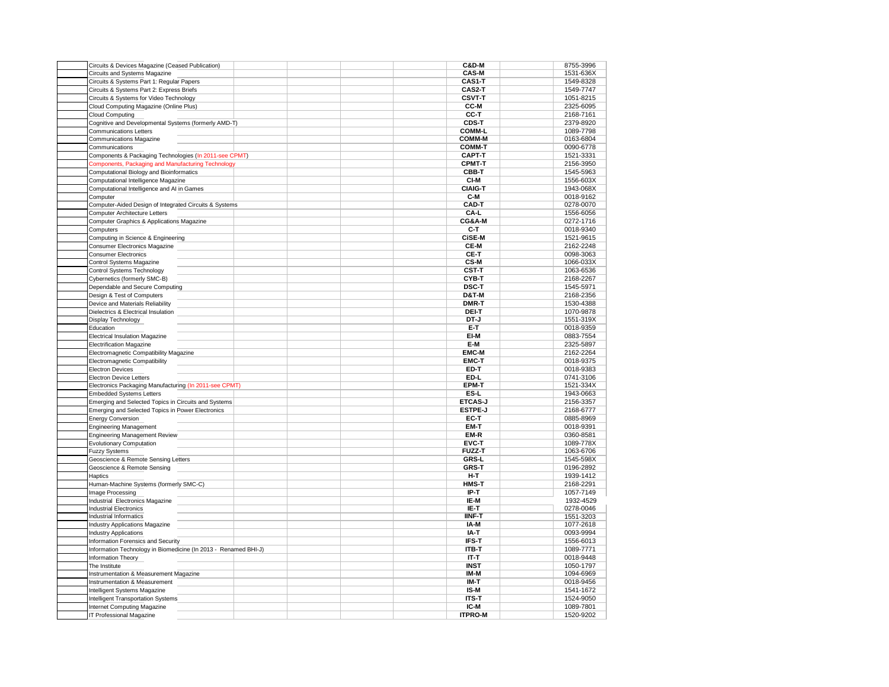| Circuits & Devices Magazine (Ceased Publication)                |  |  | C&D-M                 | 8755-3996 |
|-----------------------------------------------------------------|--|--|-----------------------|-----------|
| Circuits and Systems Magazine                                   |  |  | <b>CAS-M</b>          | 1531-636X |
| Circuits & Systems Part 1: Regular Papers                       |  |  | CAS1-T                | 1549-8328 |
| Circuits & Systems Part 2: Express Briefs                       |  |  | CAS2-T                | 1549-7747 |
| Circuits & Systems for Video Technology                         |  |  | <b>CSVT-T</b>         | 1051-8215 |
| Cloud Computing Magazine (Online Plus)                          |  |  | CC-M                  | 2325-6095 |
| <b>Cloud Computing</b>                                          |  |  | CC-T                  | 2168-7161 |
| Cognitive and Developmental Systems (formerly AMD-T)            |  |  | CDS-T                 | 2379-8920 |
| <b>Communications Letters</b>                                   |  |  | <b>COMM-L</b>         | 1089-7798 |
| <b>Communications Magazine</b>                                  |  |  | <b>COMM-M</b>         | 0163-6804 |
| Communications                                                  |  |  | <b>COMM-T</b>         | 0090-6778 |
| Components & Packaging Technologies (In 2011-see CPMT)          |  |  | CAPT-T                | 1521-3331 |
| Components, Packaging and Manufacturing Technology              |  |  | <b>CPMT-T</b>         | 2156-3950 |
| Computational Biology and Bioinformatics                        |  |  | CBB-T                 | 1545-5963 |
| Computational Intelligence Magazine                             |  |  | CI-M                  | 1556-603X |
| Computational Intelligence and AI in Games                      |  |  | <b>CIAIG-T</b>        | 1943-068X |
| Computer                                                        |  |  | C-M                   | 0018-9162 |
| Computer-Aided Design of Integrated Circuits & Systems          |  |  | CAD-T                 | 0278-0070 |
| <b>Computer Architecture Letters</b>                            |  |  | CA-L                  | 1556-6056 |
| Computer Graphics & Applications Magazine                       |  |  | CG&A-M                | 0272-1716 |
| Computers                                                       |  |  | C-T                   | 0018-9340 |
| Computing in Science & Engineering                              |  |  | CiSE-M                | 1521-9615 |
| Consumer Electronics Magazine                                   |  |  | CE-M                  | 2162-2248 |
| <b>Consumer Electronics</b>                                     |  |  | CE-T                  | 0098-3063 |
| Control Systems Magazine                                        |  |  | CS-M                  | 1066-033X |
| <b>Control Systems Technology</b>                               |  |  | <b>CST-T</b>          | 1063-6536 |
| Cybernetics (formerly SMC-B)                                    |  |  | CYB-T                 | 2168-2267 |
| Dependable and Secure Computing                                 |  |  | <b>DSC-T</b>          | 1545-5971 |
| Design & Test of Computers                                      |  |  | <b>D&amp;T-M</b>      | 2168-2356 |
| Device and Materials Reliability                                |  |  | DMR-T                 | 1530-4388 |
| Dielectrics & Electrical Insulation                             |  |  | DEI-T                 | 1070-9878 |
| Display Technology                                              |  |  | DT-J                  | 1551-319X |
| Education                                                       |  |  | E-T                   | 0018-9359 |
| <b>Electrical Insulation Magazine</b>                           |  |  | EI-M                  | 0883-7554 |
| <b>Electrification Magazine</b>                                 |  |  | E-M                   | 2325-5897 |
| Electromagnetic Compatibility Magazine                          |  |  | <b>EMC-M</b>          | 2162-2264 |
| Electromagnetic Compatibility                                   |  |  | <b>EMC-T</b>          | 0018-9375 |
| <b>Electron Devices</b>                                         |  |  | ED-T                  | 0018-9383 |
| <b>Electron Device Letters</b>                                  |  |  | ED-L                  | 0741-3106 |
| Electronics Packaging Manufacturing (In 2011-see CPMT)          |  |  | EPM-T                 | 1521-334X |
| <b>Embedded Systems Letters</b>                                 |  |  | ES-L                  | 1943-0663 |
| Emerging and Selected Topics in Circuits and Systems            |  |  | <b>ETCAS-J</b>        | 2156-3357 |
| Emerging and Selected Topics in Power Electronics               |  |  | <b>ESTPE-J</b>        | 2168-6777 |
| <b>Energy Conversion</b>                                        |  |  | EC-T                  | 0885-8969 |
| <b>Engineering Management</b>                                   |  |  | EM-T                  | 0018-9391 |
| <b>Engineering Management Review</b>                            |  |  | EM-R                  | 0360-8581 |
|                                                                 |  |  | EVC-T                 | 1089-778X |
| <b>Evolutionary Computation</b><br><b>Fuzzy Systems</b>         |  |  | <b>FUZZ-T</b>         | 1063-6706 |
| Geoscience & Remote Sensing Letters                             |  |  | GRS-L                 | 1545-598X |
|                                                                 |  |  | <b>GRS-T</b>          | 0196-2892 |
| Geoscience & Remote Sensing                                     |  |  |                       |           |
| Haptics                                                         |  |  | H-T<br>HMS-T          | 1939-1412 |
| Human-Machine Systems (formerly SMC-C)                          |  |  |                       | 2168-2291 |
| Image Processing                                                |  |  | IP-T                  | 1057-7149 |
| Industrial Electronics Magazine                                 |  |  | IE-M                  | 1932-4529 |
| <b>Industrial Electronics</b>                                   |  |  | IE-T<br><b>IINF-T</b> | 0278-0046 |
| Industrial Informatics                                          |  |  |                       | 1551-3203 |
| <b>Industry Applications Magazine</b>                           |  |  | IA-M                  | 1077-2618 |
| <b>Industry Applications</b>                                    |  |  | IA-T                  | 0093-9994 |
| Information Forensics and Security                              |  |  | IFS-T                 | 1556-6013 |
| Information Technology in Biomedicine (In 2013 - Renamed BHI-J) |  |  | <b>ITB-T</b>          | 1089-7771 |
| Information Theory                                              |  |  | IT-T                  | 0018-9448 |
| The Institute                                                   |  |  | INST                  | 1050-1797 |
| Instrumentation & Measurement Magazine                          |  |  | IM-M                  | 1094-6969 |
| Instrumentation & Measurement                                   |  |  | IM-T                  | 0018-9456 |
| Intelligent Systems Magazine                                    |  |  | IS-M                  | 1541-1672 |
| Intelligent Transportation Systems                              |  |  | <b>ITS-T</b>          | 1524-9050 |
| Internet Computing Magazine                                     |  |  | IC-M                  | 1089-7801 |
| IT Professional Magazine                                        |  |  | <b>ITPRO-M</b>        | 1520-9202 |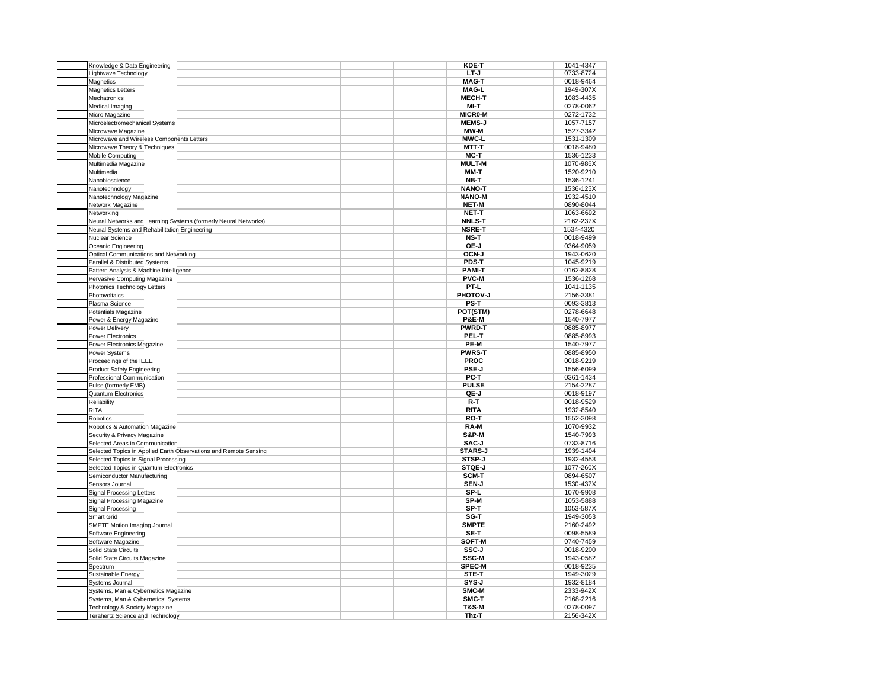| Knowledge & Data Engineering                                     |  | KDE-T            | 1041-4347 |
|------------------------------------------------------------------|--|------------------|-----------|
| Lightwave Technology                                             |  | LT-J             | 0733-8724 |
| Magnetics                                                        |  | <b>MAG-T</b>     | 0018-9464 |
| Magnetics Letters                                                |  | <b>MAG-L</b>     | 1949-307X |
| Mechatronics                                                     |  | <b>MECH-T</b>    | 1083-4435 |
|                                                                  |  | MI-T             | 0278-0062 |
| Medical Imaging                                                  |  |                  |           |
| Micro Magazine                                                   |  | MICR0-M          | 0272-1732 |
| Microelectromechanical Systems                                   |  | <b>MEMS-J</b>    | 1057-7157 |
| Microwave Magazine                                               |  | MW-M             | 1527-3342 |
| Microwave and Wireless Components Letters                        |  | <b>MWC-L</b>     | 1531-1309 |
| Microwave Theory & Techniques                                    |  | MTT-T            | 0018-9480 |
| <b>Mobile Computing</b>                                          |  | MC-T             | 1536-1233 |
| Multimedia Magazine                                              |  | <b>MULT-M</b>    | 1070-986X |
| Multimedia                                                       |  | MM-T             | 1520-9210 |
| Nanobioscience                                                   |  | NB-T             | 1536-1241 |
| Nanotechnology                                                   |  | <b>NANO-T</b>    | 1536-125X |
| Nanotechnology Magazine                                          |  | <b>NANO-M</b>    | 1932-4510 |
| Network Magazine                                                 |  | NET-M            | 0890-8044 |
| Networking                                                       |  | <b>NET-T</b>     | 1063-6692 |
|                                                                  |  | <b>NNLS-T</b>    |           |
| Neural Networks and Learning Systems (formerly Neural Networks)  |  |                  | 2162-237X |
| Neural Systems and Rehabilitation Engineering                    |  | <b>NSRE-T</b>    | 1534-4320 |
| Nuclear Science                                                  |  | NS-T             | 0018-9499 |
| Oceanic Engineering                                              |  | OE-J             | 0364-9059 |
| Optical Communications and Networking                            |  | OCN-J            | 1943-0620 |
| Parallel & Distributed Systems                                   |  | <b>PDS-T</b>     | 1045-9219 |
| Pattern Analysis & Machine Intelligence                          |  | <b>PAMI-T</b>    | 0162-8828 |
| Pervasive Computing Magazine                                     |  | <b>PVC-M</b>     | 1536-1268 |
| Photonics Technology Letters                                     |  | PT-L             | 1041-1135 |
| Photovoltaics                                                    |  | <b>PHOTOV-J</b>  | 2156-3381 |
| Plasma Science                                                   |  | PS-T             | 0093-3813 |
| Potentials Magazine                                              |  | POT(STM)         | 0278-6648 |
| Power & Energy Magazine                                          |  | <b>P&amp;E-M</b> | 1540-7977 |
| Power Delivery                                                   |  | <b>PWRD-T</b>    | 0885-8977 |
| Power Electronics                                                |  | PEL-T            | 0885-8993 |
|                                                                  |  |                  |           |
| Power Electronics Magazine                                       |  | PE-M             | 1540-7977 |
| Power Systems                                                    |  | <b>PWRS-T</b>    | 0885-8950 |
| Proceedings of the IEEE                                          |  | <b>PROC</b>      | 0018-9219 |
| <b>Product Safety Engineering</b>                                |  | PSE-J            | 1556-6099 |
| Professional Communication                                       |  | PC-T             | 0361-1434 |
| Pulse (formerly EMB)                                             |  | <b>PULSE</b>     | 2154-2287 |
| Quantum Electronics                                              |  | QE-J             | 0018-9197 |
| Reliability                                                      |  | R-T              | 0018-9529 |
| <b>RITA</b>                                                      |  | <b>RITA</b>      | 1932-8540 |
| Robotics                                                         |  | RO-T             | 1552-3098 |
| Robotics & Automation Magazine                                   |  | RA-M             | 1070-9932 |
| Security & Privacy Magazine                                      |  | <b>S&amp;P-M</b> | 1540-7993 |
| Selected Areas in Communication                                  |  | SAC-J            | 0733-8716 |
| Selected Topics in Applied Earth Observations and Remote Sensing |  | STARS-J          | 1939-1404 |
|                                                                  |  | STSP-J           |           |
| Selected Topics in Signal Processing                             |  |                  | 1932-4553 |
| Selected Topics in Quantum Electronics                           |  | STQE-J           | 1077-260X |
| Semiconductor Manufacturing                                      |  | SCM-T            | 0894-6507 |
| Sensors Journal                                                  |  | SEN-J            | 1530-437X |
| <b>Signal Processing Letters</b>                                 |  | SP-L             | 1070-9908 |
| Signal Processing Magazine                                       |  | SP-M             | 1053-5888 |
| Signal Processing                                                |  | SP-T             | 1053-587X |
| Smart Grid                                                       |  | SG-T             | 1949-3053 |
| SMPTE Motion Imaging Journal                                     |  | <b>SMPTE</b>     | 2160-2492 |
| Software Engineering                                             |  | SE-T             | 0098-5589 |
| Software Magazine                                                |  | SOFT-M           | 0740-7459 |
| Solid State Circuits                                             |  | SSC-J            | 0018-9200 |
| Solid State Circuits Magazine                                    |  | <b>SSC-M</b>     | 1943-0582 |
| Spectrum                                                         |  | <b>SPEC-M</b>    | 0018-9235 |
|                                                                  |  | STE-T            |           |
| Sustainable Energy                                               |  |                  | 1949-3029 |
| Systems Journal                                                  |  | SYS-J            | 1932-8184 |
| Systems, Man & Cybernetics Magazine                              |  | SMC-M            | 2333-942X |
| Systems, Man & Cybernetics: Systems                              |  | SMC-T            | 2168-2216 |
| Technology & Society Magazine                                    |  | <b>T&amp;S-M</b> | 0278-0097 |
| Terahertz Science and Technology                                 |  | Thz-T            | 2156-342X |